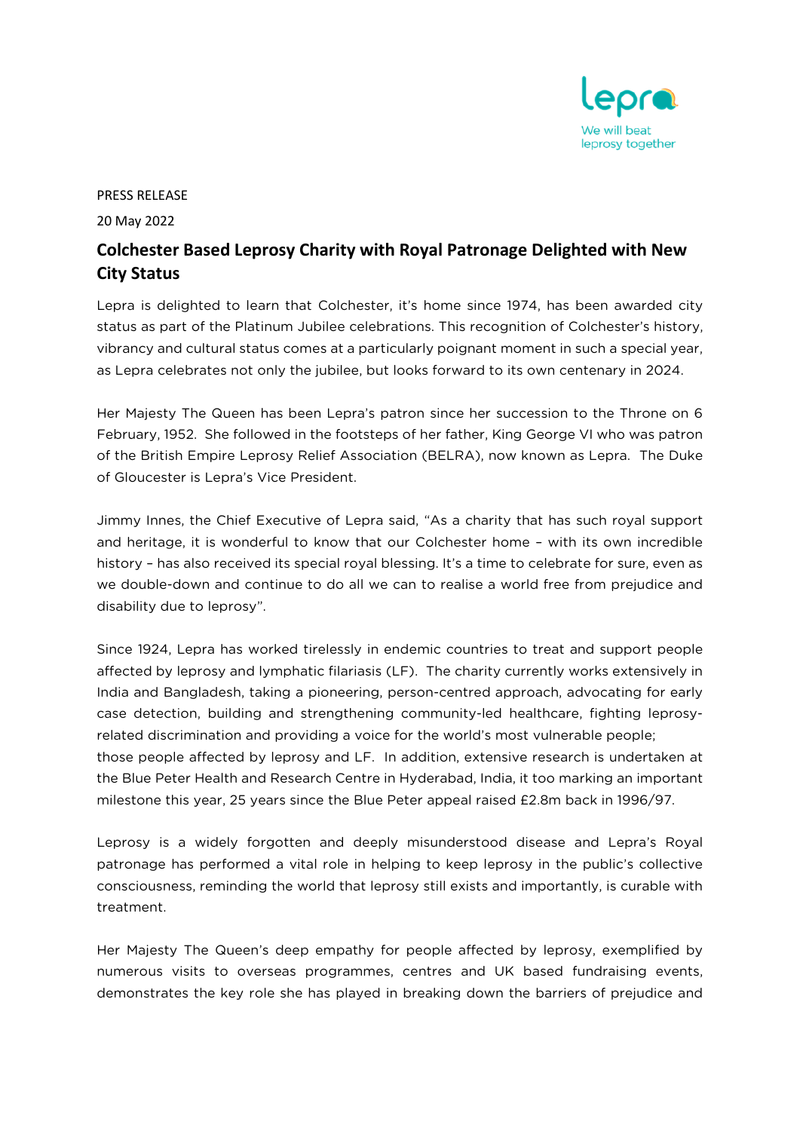

## PRESS RELEASE

20 May 2022

## **Colchester Based Leprosy Charity with Royal Patronage Delighted with New City Status**

Lepra is delighted to learn that Colchester, it's home since 1974, has been awarded city status as part of the Platinum Jubilee celebrations. This recognition of Colchester's history, vibrancy and cultural status comes at a particularly poignant moment in such a special year, as Lepra celebrates not only the jubilee, but looks forward to its own centenary in 2024.

Her Majesty The Queen has been Lepra's patron since her succession to the Throne on 6 February, 1952. She followed in the footsteps of her father, King George VI who was patron of the British Empire Leprosy Relief Association (BELRA), now known as Lepra. The Duke of Gloucester is Lepra's Vice President.

Jimmy Innes, the Chief Executive of Lepra said, "As a charity that has such royal support and heritage, it is wonderful to know that our Colchester home – with its own incredible history – has also received its special royal blessing. It's a time to celebrate for sure, even as we double-down and continue to do all we can to realise a world free from prejudice and disability due to leprosy".

Since 1924, Lepra has worked tirelessly in endemic countries to treat and support people affected by leprosy and lymphatic filariasis (LF). The charity currently works extensively in India and Bangladesh, taking a pioneering, person-centred approach, advocating for early case detection, building and strengthening community-led healthcare, fighting leprosyrelated discrimination and providing a voice for the world's most vulnerable people; those people affected by leprosy and LF. In addition, extensive research is undertaken at the Blue Peter Health and Research Centre in Hyderabad, India, it too marking an important milestone this year, 25 years since the Blue Peter appeal raised £2.8m back in 1996/97.

Leprosy is a widely forgotten and deeply misunderstood disease and Lepra's Royal patronage has performed a vital role in helping to keep leprosy in the public's collective consciousness, reminding the world that leprosy still exists and importantly, is curable with treatment.

Her Majesty The Queen's deep empathy for people affected by leprosy, exemplified by numerous visits to overseas programmes, centres and UK based fundraising events, demonstrates the key role she has played in breaking down the barriers of prejudice and